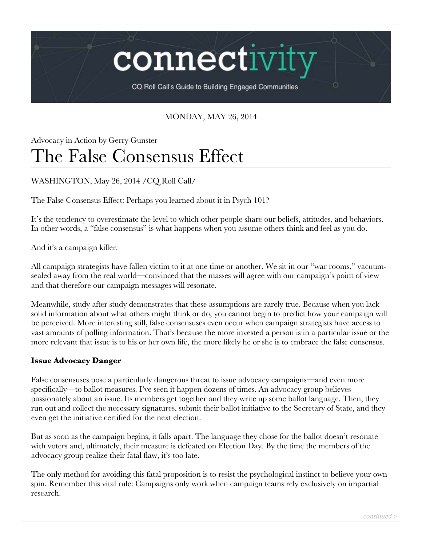connectivi

CQ Roll Call's Guide to Building Engaged Communities

## MONDAY, MAY 26, 2014

# Advocacy in Action by Gerry Gunster The False Consensus Effect

## WASHINGTON, May 26, 2014 /CQ Roll Call/

The False Consensus Effect: Perhaps you learned about it in Psych 101?

It's the tendency to overestimate the level to which other people share our beliefs, attitudes, and behaviors. In other words, a "false consensus" is what happens when you assume others think and feel as you do.

And it's a campaign killer.

All campaign strategists have fallen victim to it at one time or another. We sit in our "war rooms," vacuumsealed away from the real world—convinced that the masses will agree with our campaign's point of view and that therefore our campaign messages will resonate.

Meanwhile, study after study demonstrates that these assumptions are rarely true. Because when you lack solid information about what others might think or do, you cannot begin to predict how your campaign will be perceived. More interesting still, false consensuses even occur when campaign strategists have access to vast amounts of polling information. That's because the more invested a person is in a particular issue or the more relevant that issue is to his or her own life, the more likely he or she is to embrace the false consensus.

### **Issue Advocacy Danger**

False consensuses pose a particularly dangerous threat to issue advocacy campaigns—and even more specifically—to ballot measures. I've seen it happen dozens of times. An advocacy group believes passionately about an issue. Its members get together and they write up some ballot language. Then, they run out and collect the necessary signatures, submit their ballot initiative to the Secretary of State, and they even get the initiative certified for the next election.

But as soon as the campaign begins, it falls apart. The language they chose for the ballot doesn't resonate with voters and, ultimately, their measure is defeated on Election Day. By the time the members of the advocacy group realize their fatal flaw, it's too late.

The only method for avoiding this fatal proposition is to resist the psychological instinct to believe your own spin. Remember this vital rule: Campaigns only work when campaign teams rely exclusively on impartial research.